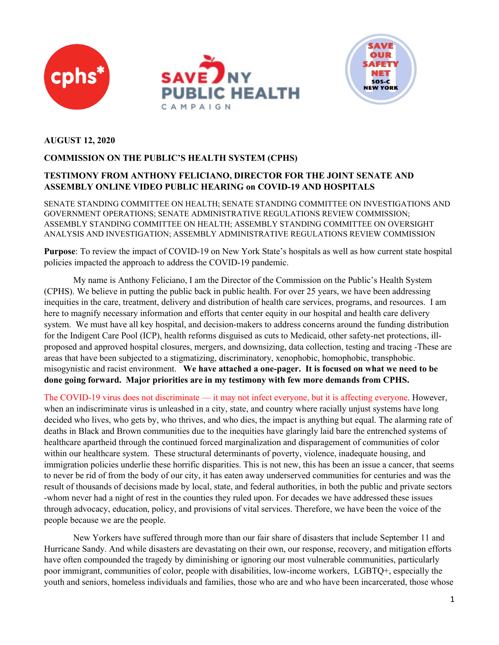





#### **AUGUST 12, 2020**

#### **COMMISSION ON THE PUBLIC'S HEALTH SYSTEM (CPHS)**

### **TESTIMONY FROM ANTHONY FELICIANO, DIRECTOR FOR THE JOINT SENATE AND ASSEMBLY ONLINE VIDEO PUBLIC HEARING on COVID-19 AND HOSPITALS**

SENATE STANDING COMMITTEE ON HEALTH; SENATE STANDING COMMITTEE ON INVESTIGATIONS AND GOVERNMENT OPERATIONS; SENATE ADMINISTRATIVE REGULATIONS REVIEW COMMISSION; ASSEMBLY STANDING COMMITTEE ON HEALTH; ASSEMBLY STANDING COMMITTEE ON OVERSIGHT ANALYSIS AND INVESTIGATION; ASSEMBLY ADMINISTRATIVE REGULATIONS REVIEW COMMISSION

**Purpose**: To review the impact of COVID-19 on New York State's hospitals as well as how current state hospital policies impacted the approach to address the COVID-19 pandemic.

My name is Anthony Feliciano, I am the Director of the Commission on the Public's Health System (CPHS). We believe in putting the public back in public health. For over 25 years, we have been addressing inequities in the care, treatment, delivery and distribution of health care services, programs, and resources. I am here to magnify necessary information and efforts that center equity in our hospital and health care delivery system. We must have all key hospital, and decision-makers to address concerns around the funding distribution for the Indigent Care Pool (ICP), health reforms disguised as cuts to Medicaid, other safety-net protections, illproposed and approved hospital closures, mergers, and downsizing, data collection, testing and tracing -These are areas that have been subjected to a stigmatizing, discriminatory, xenophobic, homophobic, transphobic. misogynistic and racist environment. **We have attached a one-pager. It is focused on what we need to be done going forward. Major priorities are in my testimony with few more demands from CPHS.**

The COVID-19 virus does not discriminate — it may not infect everyone, but it is affecting everyone. However, when an indiscriminate virus is unleashed in a city, state, and country where racially unjust systems have long decided who lives, who gets by, who thrives, and who dies, the impact is anything but equal. The alarming rate of deaths in Black and Brown communities due to the inequities have glaringly laid bare the entrenched systems of healthcare apartheid through the continued forced marginalization and disparagement of communities of color within our healthcare system. These structural determinants of poverty, violence, inadequate housing, and immigration policies underlie these horrific disparities. This is not new, this has been an issue a cancer, that seems to never be rid of from the body of our city, it has eaten away underserved communities for centuries and was the result of thousands of decisions made by local, state, and federal authorities, in both the public and private sectors -whom never had a night of rest in the counties they ruled upon. For decades we have addressed these issues through advocacy, education, policy, and provisions of vital services. Therefore, we have been the voice of the people because we are the people.

New Yorkers have suffered through more than our fair share of disasters that include September 11 and Hurricane Sandy. And while disasters are devastating on their own, our response, recovery, and mitigation efforts have often compounded the tragedy by diminishing or ignoring our most vulnerable communities, particularly poor immigrant, communities of color, people with disabilities, low-income workers, LGBTQ+, especially the youth and seniors, homeless individuals and families, those who are and who have been incarcerated, those whose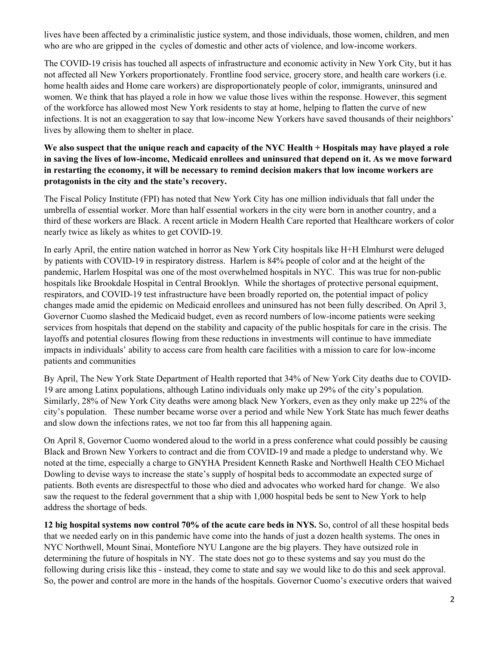lives have been affected by a criminalistic justice system, and those individuals, those women, children, and men who are who are gripped in the cycles of domestic and other acts of violence, and low-income workers.

The COVID-19 crisis has touched all aspects of infrastructure and economic activity in New York City, but it has not affected all New Yorkers proportionately. Frontline food service, grocery store, and health care workers (i.e. home health aides and Home care workers) are disproportionately people of color, immigrants, uninsured and women. We think that has played a role in how we value those lives within the response. However, this segment of the workforce has allowed most New York residents to stay at home, helping to flatten the curve of new infections. It is not an exaggeration to say that low-income New Yorkers have saved thousands of their neighbors' lives by allowing them to shelter in place.

### **We also suspect that the unique reach and capacity of the NYC Health + Hospitals may have played a role in saving the lives of low-income, Medicaid enrollees and uninsured that depend on it. As we move forward in restarting the economy, it will be necessary to remind decision makers that low income workers are protagonists in the city and the state's recovery.**

The Fiscal Policy Institute (FPI) has noted that New York City has one million individuals that fall under the umbrella of essential worker. More than half essential workers in the city were born in another country, and a third of these workers are Black. A recent article in Modern Health Care reported that Healthcare workers of color nearly twice as likely as whites to get COVID-19.

In early April, the entire nation watched in horror as New York City hospitals like H+H Elmhurst were deluged by patients with COVID-19 in respiratory distress. Harlem is 84% people of color and at the height of the pandemic, Harlem Hospital was one of the most overwhelmed hospitals in NYC. This was true for non-public hospitals like Brookdale Hospital in Central Brooklyn. While the shortages of protective personal equipment, respirators, and COVID-19 test infrastructure have been broadly reported on, the potential impact of policy changes made amid the epidemic on Medicaid enrollees and uninsured has not been fully described. On April 3, Governor Cuomo slashed the Medicaid budget, even as record numbers of low-income patients were seeking services from hospitals that depend on the stability and capacity of the public hospitals for care in the crisis. The layoffs and potential closures flowing from these reductions in investments will continue to have immediate impacts in individuals' ability to access care from health care facilities with a mission to care for low-income patients and communities

By April, The New York State Department of Health reported that 34% of New York City deaths due to COVID-19 are among Latinx populations, although Latino individuals only make up 29% of the city's population. Similarly, 28% of New York City deaths were among black New Yorkers, even as they only make up 22% of the city's population. These number became worse over a period and while New York State has much fewer deaths and slow down the infections rates, we not too far from this all happening again.

On April 8, Governor Cuomo wondered aloud to the world in a press conference what could possibly be causing Black and Brown New Yorkers to contract and die from COVID-19 and made a pledge to understand why. We noted at the time, especially a charge to GNYHA President Kenneth Raske and Northwell Health CEO Michael Dowling to devise ways to increase the state's supply of hospital beds to accommodate an expected surge of patients. Both events are disrespectful to those who died and advocates who worked hard for change. We also saw the request to the federal government that a ship with 1,000 hospital beds be sent to New York to help address the shortage of beds.

**12 big hospital systems now control 70% of the acute care beds in NYS.** So, control of all these hospital beds that we needed early on in this pandemic have come into the hands of just a dozen health systems. The ones in NYC Northwell, Mount Sinai, Montefiore NYU Langone are the big players. They have outsized role in determining the future of hospitals in NY. The state does not go to these systems and say you must do the following during crisis like this - instead, they come to state and say we would like to do this and seek approval. So, the power and control are more in the hands of the hospitals. Governor Cuomo's executive orders that waived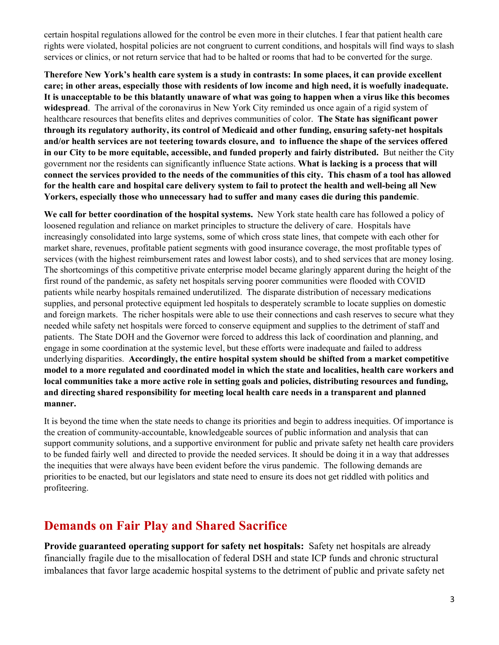certain hospital regulations allowed for the control be even more in their clutches. I fear that patient health care rights were violated, hospital policies are not congruent to current conditions, and hospitals will find ways to slash services or clinics, or not return service that had to be halted or rooms that had to be converted for the surge.

**Therefore New York's health care system is a study in contrasts: In some places, it can provide excellent care; in other areas, especially those with residents of low income and high need, it is woefully inadequate. It is unacceptable to be this blatantly unaware of what was going to happen when a virus like this becomes widespread**. The arrival of the coronavirus in New York City reminded us once again of a rigid system of healthcare resources that benefits elites and deprives communities of color. **The State has significant power through its regulatory authority, its control of Medicaid and other funding, ensuring safety-net hospitals and/or health services are not teetering towards closure, and to influence the shape of the services offered in our City to be more equitable, accessible, and funded properly and fairly distributed.** But neither the City government nor the residents can significantly influence State actions. **What is lacking is a process that will connect the services provided to the needs of the communities of this city. This chasm of a tool has allowed for the health care and hospital care delivery system to fail to protect the health and well-being all New Yorkers, especially those who unnecessary had to suffer and many cases die during this pandemic**.

**We call for better coordination of the hospital systems.** New York state health care has followed a policy of loosened regulation and reliance on market principles to structure the delivery of care. Hospitals have increasingly consolidated into large systems, some of which cross state lines, that compete with each other for market share, revenues, profitable patient segments with good insurance coverage, the most profitable types of services (with the highest reimbursement rates and lowest labor costs), and to shed services that are money losing. The shortcomings of this competitive private enterprise model became glaringly apparent during the height of the first round of the pandemic, as safety net hospitals serving poorer communities were flooded with COVID patients while nearby hospitals remained underutilized. The disparate distribution of necessary medications supplies, and personal protective equipment led hospitals to desperately scramble to locate supplies on domestic and foreign markets. The richer hospitals were able to use their connections and cash reserves to secure what they needed while safety net hospitals were forced to conserve equipment and supplies to the detriment of staff and patients. The State DOH and the Governor were forced to address this lack of coordination and planning, and engage in some coordination at the systemic level, but these efforts were inadequate and failed to address underlying disparities. **Accordingly, the entire hospital system should be shifted from a market competitive model to a more regulated and coordinated model in which the state and localities, health care workers and local communities take a more active role in setting goals and policies, distributing resources and funding, and directing shared responsibility for meeting local health care needs in a transparent and planned manner.**

It is beyond the time when the state needs to change its priorities and begin to address inequities. Of importance is the creation of community-accountable, knowledgeable sources of public information and analysis that can support community solutions, and a supportive environment for public and private safety net health care providers to be funded fairly well and directed to provide the needed services. It should be doing it in a way that addresses the inequities that were always have been evident before the virus pandemic. The following demands are priorities to be enacted, but our legislators and state need to ensure its does not get riddled with politics and profiteering.

# **Demands on Fair Play and Shared Sacrifice**

**Provide guaranteed operating support for safety net hospitals:** Safety net hospitals are already financially fragile due to the misallocation of federal DSH and state ICP funds and chronic structural imbalances that favor large academic hospital systems to the detriment of public and private safety net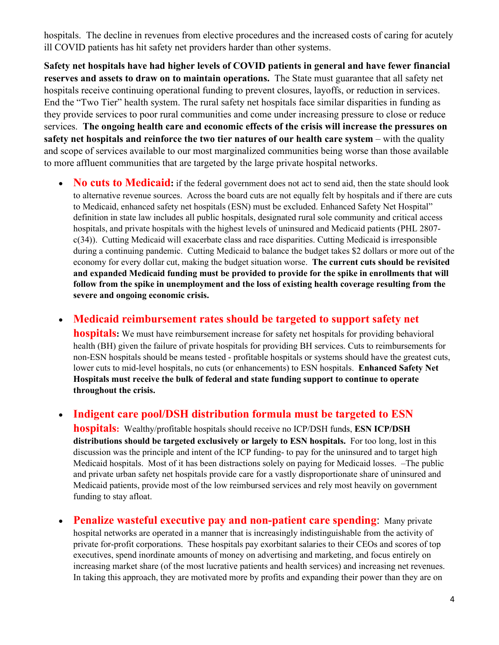hospitals. The decline in revenues from elective procedures and the increased costs of caring for acutely ill COVID patients has hit safety net providers harder than other systems.

**Safety net hospitals have had higher levels of COVID patients in general and have fewer financial reserves and assets to draw on to maintain operations.** The State must guarantee that all safety net hospitals receive continuing operational funding to prevent closures, layoffs, or reduction in services. End the "Two Tier" health system. The rural safety net hospitals face similar disparities in funding as they provide services to poor rural communities and come under increasing pressure to close or reduce services. **The ongoing health care and economic effects of the crisis will increase the pressures on safety net hospitals and reinforce the two tier natures of our health care system** – with the quality and scope of services available to our most marginalized communities being worse than those available to more affluent communities that are targeted by the large private hospital networks.

• **No cuts to Medicaid:** if the federal government does not act to send aid, then the state should look to alternative revenue sources. Across the board cuts are not equally felt by hospitals and if there are cuts to Medicaid, enhanced safety net hospitals (ESN) must be excluded. Enhanced Safety Net Hospital" definition in state law includes all public hospitals, designated rural sole community and critical access hospitals, and private hospitals with the highest levels of uninsured and Medicaid patients (PHL 2807 c(34)). Cutting Medicaid will exacerbate class and race disparities. Cutting Medicaid is irresponsible during a continuing pandemic. Cutting Medicaid to balance the budget takes \$2 dollars or more out of the economy for every dollar cut, making the budget situation worse. **The current cuts should be revisited and expanded Medicaid funding must be provided to provide for the spike in enrollments that will follow from the spike in unemployment and the loss of existing health coverage resulting from the severe and ongoing economic crisis.**

• **Medicaid reimbursement rates should be targeted to support safety net** 

**hospitals:** We must have reimbursement increase for safety net hospitals for providing behavioral health (BH) given the failure of private hospitals for providing BH services. Cuts to reimbursements for non-ESN hospitals should be means tested - profitable hospitals or systems should have the greatest cuts, lower cuts to mid-level hospitals, no cuts (or enhancements) to ESN hospitals. **Enhanced Safety Net Hospitals must receive the bulk of federal and state funding support to continue to operate throughout the crisis.** 

• **Indigent care pool/DSH distribution formula must be targeted to ESN** 

**hospitals:** Wealthy/profitable hospitals should receive no ICP/DSH funds, **ESN ICP/DSH distributions should be targeted exclusively or largely to ESN hospitals.** For too long, lost in this discussion was the principle and intent of the ICP funding- to pay for the uninsured and to target high Medicaid hospitals. Most of it has been distractions solely on paying for Medicaid losses. –The public and private urban safety net hospitals provide care for a vastly disproportionate share of uninsured and Medicaid patients, provide most of the low reimbursed services and rely most heavily on government funding to stay afloat.

**Penalize wasteful executive pay and non-patient care spending:** Many private hospital networks are operated in a manner that is increasingly indistinguishable from the activity of private for-profit corporations. These hospitals pay exorbitant salaries to their CEOs and scores of top executives, spend inordinate amounts of money on advertising and marketing, and focus entirely on increasing market share (of the most lucrative patients and health services) and increasing net revenues. In taking this approach, they are motivated more by profits and expanding their power than they are on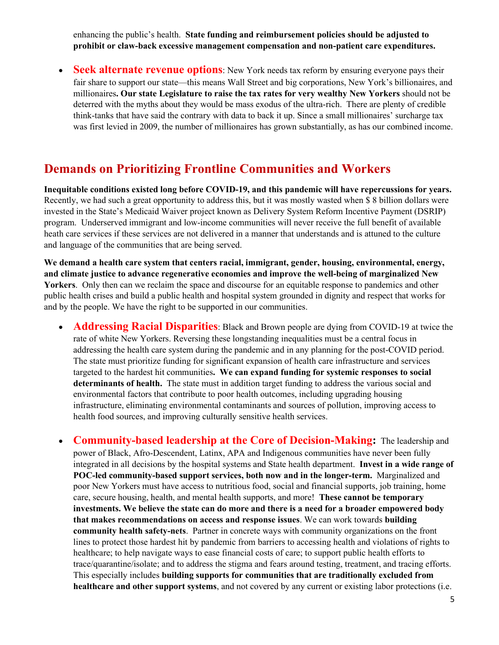enhancing the public's health. **State funding and reimbursement policies should be adjusted to prohibit or claw-back excessive management compensation and non-patient care expenditures.**

• **Seek alternate revenue options**: New York needs tax reform by ensuring everyone pays their fair share to support our state—this means Wall Street and big corporations, New York's billionaires, and millionaires**. Our state Legislature to raise the tax rates for very wealthy New Yorkers** should not be deterred with the myths about they would be mass exodus of the ultra-rich. There are plenty of credible think-tanks that have said the contrary with data to back it up. Since a small millionaires' surcharge tax was first levied in 2009, the number of millionaires has grown substantially, as has our combined income.

## **Demands on Prioritizing Frontline Communities and Workers**

**Inequitable conditions existed long before COVID-19, and this pandemic will have repercussions for years.** Recently, we had such a great opportunity to address this, but it was mostly wasted when \$ 8 billion dollars were invested in the State's Medicaid Waiver project known as Delivery System Reform Incentive Payment (DSRIP) program. Underserved immigrant and low-income communities will never receive the full benefit of available heath care services if these services are not delivered in a manner that understands and is attuned to the culture and language of the communities that are being served.

**We demand a health care system that centers racial, immigrant, gender, housing, environmental, energy, and climate justice to advance regenerative economies and improve the well-being of marginalized New Yorkers**. Only then can we reclaim the space and discourse for an equitable response to pandemics and other public health crises and build a public health and hospital system grounded in dignity and respect that works for and by the people. We have the right to be supported in our communities.

• **Addressing Racial Disparities**: Black and Brown people are dying from COVID-19 at twice the rate of white New Yorkers. Reversing these longstanding inequalities must be a central focus in addressing the health care system during the pandemic and in any planning for the post-COVID period. The state must prioritize funding for significant expansion of health care infrastructure and services targeted to the hardest hit communities**. We can expand funding for systemic responses to social determinants of health.** The state must in addition target funding to address the various social and environmental factors that contribute to poor health outcomes, including upgrading housing infrastructure, eliminating environmental contaminants and sources of pollution, improving access to health food sources, and improving culturally sensitive health services.

• **Community-based leadership at the Core of Decision-Making:** The leadership and power of Black, Afro-Descendent, Latinx, APA and Indigenous communities have never been fully integrated in all decisions by the hospital systems and State health department. **Invest in a wide range of POC-led community-based support services, both now and in the longer-term.** Marginalized and poor New Yorkers must have access to nutritious food, social and financial supports, job training, home care, secure housing, health, and mental health supports, and more! **These cannot be temporary investments. We believe the state can do more and there is a need for a broader empowered body that makes recommendations on access and response issues**. We can work towards **building community health safety-nets**. Partner in concrete ways with community organizations on the front lines to protect those hardest hit by pandemic from barriers to accessing health and violations of rights to healthcare; to help navigate ways to ease financial costs of care; to support public health efforts to trace/quarantine/isolate; and to address the stigma and fears around testing, treatment, and tracing efforts. This especially includes **building supports for communities that are traditionally excluded from healthcare and other support systems**, and not covered by any current or existing labor protections (i.e.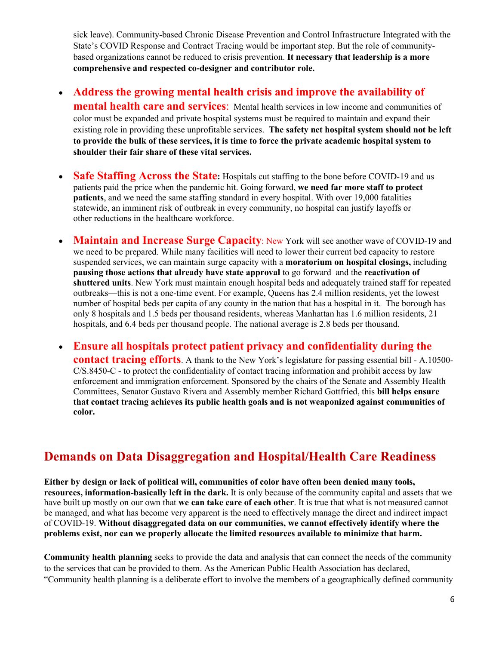sick leave). Community-based Chronic Disease Prevention and Control Infrastructure Integrated with the State's COVID Response and Contract Tracing would be important step. But the role of communitybased organizations cannot be reduced to crisis prevention. **It necessary that leadership is a more comprehensive and respected co-designer and contributor role.** 

• **Address the growing mental health crisis and improve the availability of mental health care and services**: Mental health services in low income and communities of color must be expanded and private hospital systems must be required to maintain and expand their existing role in providing these unprofitable services. **The safety net hospital system should not be left to provide the bulk of these services, it is time to force the private academic hospital system to shoulder their fair share of these vital services.**

- **Safe Staffing Across the State:** Hospitals cut staffing to the bone before COVID-19 and us patients paid the price when the pandemic hit. Going forward, **we need far more staff to protect patients**, and we need the same staffing standard in every hospital. With over 19,000 fatalities statewide, an imminent risk of outbreak in every community, no hospital can justify layoffs or other reductions in the healthcare workforce.
- **Maintain and Increase Surge Capacity**: New York will see another wave of COVID-19 and we need to be prepared. While many facilities will need to lower their current bed capacity to restore suspended services, we can maintain surge capacity with a **moratorium on hospital closings,** including **pausing those actions that already have state approval** to go forward and the **reactivation of shuttered units**. New York must maintain enough hospital beds and adequately trained staff for repeated outbreaks—this is not a one-time event. For example, Queens has 2.4 million residents, yet the lowest number of hospital beds per capita of any county in the nation that has a hospital in it. The borough has only 8 hospitals and 1.5 beds per thousand residents, whereas Manhattan has 1.6 million residents, 21 hospitals, and 6.4 beds per thousand people. The national average is 2.8 beds per thousand.
- **Ensure all hospitals protect patient privacy and confidentiality during the contact tracing efforts**. A thank to the New York's legislature for passing essential bill - A.10500- C/S.8450-C - to protect the confidentiality of contact tracing information and prohibit access by law enforcement and immigration enforcement. Sponsored by the chairs of the Senate and Assembly Health Committees, Senator Gustavo Rivera and Assembly member Richard Gottfried, this **bill helps ensure that contact tracing achieves its public health goals and is not weaponized against communities of color.**

# **Demands on Data Disaggregation and Hospital/Health Care Readiness**

**Either by design or lack of political will, communities of color have often been denied many tools, resources, information-basically left in the dark.** It is only because of the community capital and assets that we have built up mostly on our own that **we can take care of each other**. It is true that what is not measured cannot be managed, and what has become very apparent is the need to effectively manage the direct and indirect impact of COVID-19. **Without disaggregated data on our communities, we cannot effectively identify where the problems exist, nor can we properly allocate the limited resources available to minimize that harm.**

**Community health planning** seeks to provide the data and analysis that can connect the needs of the community to the services that can be provided to them. As the American Public Health Association has declared, "Community health planning is a deliberate effort to involve the members of a geographically defined community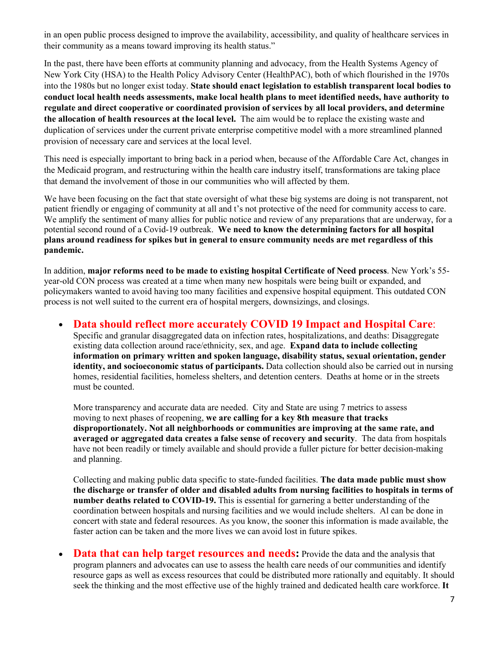in an open public process designed to improve the availability, accessibility, and quality of healthcare services in their community as a means toward improving its health status."

In the past, there have been efforts at community planning and advocacy, from the Health Systems Agency of New York City (HSA) to the Health Policy Advisory Center (HealthPAC), both of which flourished in the 1970s into the 1980s but no longer exist today. **State should enact legislation to establish transparent local bodies to conduct local health needs assessments, make local health plans to meet identified needs, have authority to regulate and direct cooperative or coordinated provision of services by all local providers, and determine the allocation of health resources at the local level.** The aim would be to replace the existing waste and duplication of services under the current private enterprise competitive model with a more streamlined planned provision of necessary care and services at the local level.

This need is especially important to bring back in a period when, because of the Affordable Care Act, changes in the Medicaid program, and restructuring within the health care industry itself, transformations are taking place that demand the involvement of those in our communities who will affected by them.

We have been focusing on the fact that state oversight of what these big systems are doing is not transparent, not patient friendly or engaging of community at all and t's not protective of the need for community access to care. We amplify the sentiment of many allies for public notice and review of any preparations that are underway, for a potential second round of a Covid-19 outbreak. **We need to know the determining factors for all hospital plans around readiness for spikes but in general to ensure community needs are met regardless of this pandemic.** 

In addition, **major reforms need to be made to existing hospital Certificate of Need process**. New York's 55 year-old CON process was created at a time when many new hospitals were being built or expanded, and policymakers wanted to avoid having too many facilities and expensive hospital equipment. This outdated CON process is not well suited to the current era of hospital mergers, downsizings, and closings.

### • **Data should reflect more accurately COVID 19 Impact and Hospital Care**:

Specific and granular disaggregated data on infection rates, hospitalizations, and deaths: Disaggregate existing data collection around race/ethnicity, sex, and age. **Expand data to include collecting information on primary written and spoken language, disability status, sexual orientation, gender identity, and socioeconomic status of participants.** Data collection should also be carried out in nursing homes, residential facilities, homeless shelters, and detention centers. Deaths at home or in the streets must be counted.

More transparency and accurate data are needed. City and State are using 7 metrics to assess moving to next phases of reopening, **we are calling for a key 8th measure that tracks disproportionately. Not all neighborhoods or communities are improving at the same rate, and averaged or aggregated data creates a false sense of recovery and security**. The data from hospitals have not been readily or timely available and should provide a fuller picture for better decision-making and planning.

Collecting and making public data specific to state-funded facilities. **The data made public must show the discharge or transfer of older and disabled adults from nursing facilities to hospitals in terms of number deaths related to COVID-19.** This is essential for garnering a better understanding of the coordination between hospitals and nursing facilities and we would include shelters. Al can be done in concert with state and federal resources. As you know, the sooner this information is made available, the faster action can be taken and the more lives we can avoid lost in future spikes.

• **Data that can help target resources and needs:** Provide the data and the analysis that program planners and advocates can use to assess the health care needs of our communities and identify resource gaps as well as excess resources that could be distributed more rationally and equitably. It should seek the thinking and the most effective use of the highly trained and dedicated health care workforce. **It**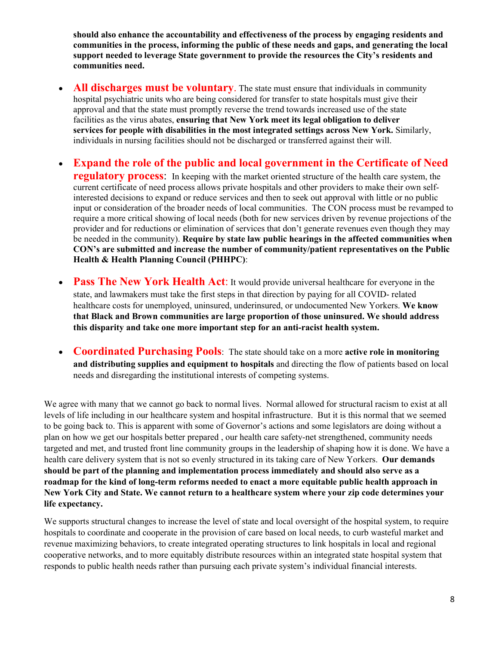**should also enhance the accountability and effectiveness of the process by engaging residents and communities in the process, informing the public of these needs and gaps, and generating the local support needed to leverage State government to provide the resources the City's residents and communities need.**

- **All discharges must be voluntary.** The state must ensure that individuals in community hospital psychiatric units who are being considered for transfer to state hospitals must give their approval and that the state must promptly reverse the trend towards increased use of the state facilities as the virus abates, **ensuring that New York meet its legal obligation to deliver services for people with disabilities in the most integrated settings across New York.** Similarly, individuals in nursing facilities should not be discharged or transferred against their will.
- **Expand the role of the public and local government in the Certificate of Need regulatory process:** In keeping with the market oriented structure of the health care system, the current certificate of need process allows private hospitals and other providers to make their own selfinterested decisions to expand or reduce services and then to seek out approval with little or no public input or consideration of the broader needs of local communities. The CON process must be revamped to require a more critical showing of local needs (both for new services driven by revenue projections of the provider and for reductions or elimination of services that don't generate revenues even though they may be needed in the community). **Require by state law public hearings in the affected communities when CON's are submitted and increase the number of community/patient representatives on the Public Health & Health Planning Council (PHHPC)**:
- **Pass The New York Health Act:** It would provide universal healthcare for everyone in the state, and lawmakers must take the first steps in that direction by paying for all COVID- related healthcare costs for unemployed, uninsured, underinsured, or undocumented New Yorkers. **We know that Black and Brown communities are large proportion of those uninsured. We should address this disparity and take one more important step for an anti-racist health system.**
- **Coordinated Purchasing Pools**: The state should take on a more **active role in monitoring and distributing supplies and equipment to hospitals** and directing the flow of patients based on local needs and disregarding the institutional interests of competing systems.

We agree with many that we cannot go back to normal lives. Normal allowed for structural racism to exist at all levels of life including in our healthcare system and hospital infrastructure. But it is this normal that we seemed to be going back to. This is apparent with some of Governor's actions and some legislators are doing without a plan on how we get our hospitals better prepared , our health care safety-net strengthened, community needs targeted and met, and trusted front line community groups in the leadership of shaping how it is done. We have a health care delivery system that is not so evenly structured in its taking care of New Yorkers. **Our demands should be part of the planning and implementation process immediately and should also serve as a roadmap for the kind of long-term reforms needed to enact a more equitable public health approach in New York City and State. We cannot return to a healthcare system where your zip code determines your life expectancy.** 

We supports structural changes to increase the level of state and local oversight of the hospital system, to require hospitals to coordinate and cooperate in the provision of care based on local needs, to curb wasteful market and revenue maximizing behaviors, to create integrated operating structures to link hospitals in local and regional cooperative networks, and to more equitably distribute resources within an integrated state hospital system that responds to public health needs rather than pursuing each private system's individual financial interests.